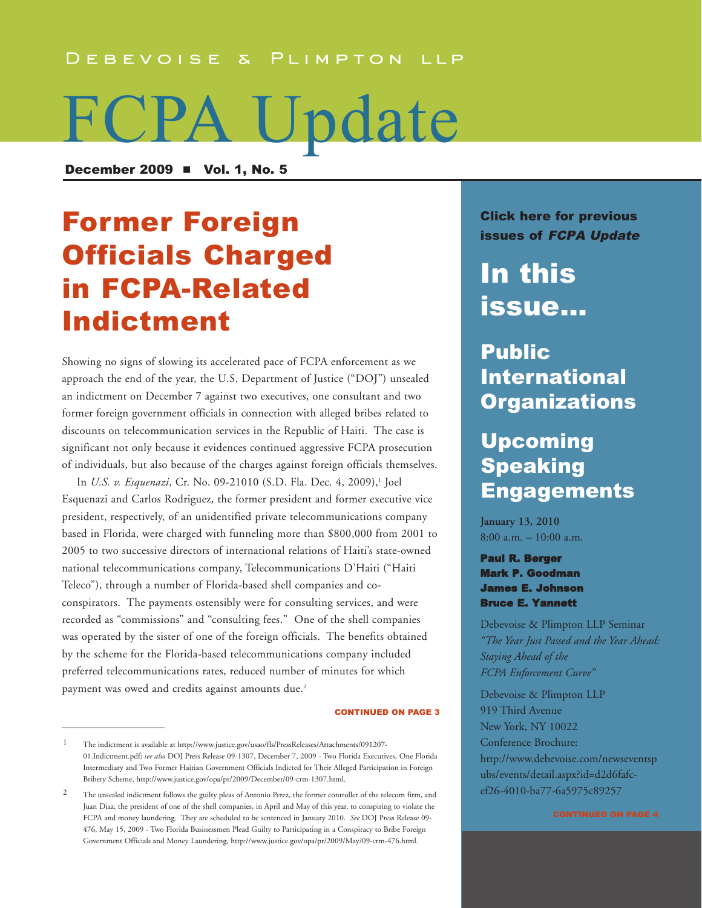#### DEBEVOISE & PLIMPTON LLP

# FCPA Update

December 2009  $\blacksquare$  Vol. 1, No. 5

# Former Foreign Officials Charged in FCPA-Related Indictment

Showing no signs of slowing its accelerated pace of FCPA enforcement as we approach the end of the year, the U.S. Department of Justice ("DOJ") unsealed an indictment on December 7 against two executives, one consultant and two former foreign government officials in connection with alleged bribes related to discounts on telecommunication services in the Republic of Haiti. The case is significant not only because it evidences continued aggressive FCPA prosecution of individuals, but also because of the charges against foreign officials themselves.

In *U.S. v. Esquenazi*, Cr. No. 09-21010 (S.D. Fla. Dec. 4, 2009),<sup>1</sup> Joel Esquenazi and Carlos Rodriguez, the former president and former executive vice president, respectively, of an unidentified private telecommunications company based in Florida, were charged with funneling more than \$800,000 from 2001 to 2005 to two successive directors of international relations of Haiti's state-owned national telecommunications company, Telecommunications D'Haiti ("Haiti Teleco"), through a number of Florida-based shell companies and coconspirators. The payments ostensibly were for consulting services, and were recorded as "commissions" and "consulting fees." One of the shell companies was operated by the sister of one of the foreign officials. The benefits obtained by the scheme for the Florida-based telecommunications company included preferred telecommunications rates, reduced number of minutes for which payment was owed and credits against amounts due.<sup>2</sup>

#### CONTINUED ON PAGE 3

[Click here for previous](http://www.debevoise.com/newseventspubs/publications/pubslist.aspx?id=956f0a96-2673-4839-b8de-25f36e36975e&type=viewall) issues of FCPA Update

In this issue...

## Public International **Organizations**

## Upcoming Speaking **Engagements**

**January 13, 2010** 8:00 a.m. – 10:00 a.m.

Paul R. Berger Mark P. Goodman James E. Johnson Bruce E. Yannett

Debevoise & Plimpton LLP Seminar *"The Year Just Passed and the Year Ahead: Staying Ahead of the FCPA Enforcement Curve"*

Debevoise & Plimpton LLP 919 Third Avenue New York, NY 10022 Conference Brochure: [http://www.debevoise.com/newseventsp](http://www.debevoise.com/newseventspubs/events/detail.aspx?id=d2d6fafc-ef26-4010-ba77-6a5975c89257) ubs/events/detail.aspx?id=d2d6fafcef26-4010-ba77-6a5975c89257

<sup>1</sup> [The indictment is available at http://www.justice.gov/usao/fls/PressReleases/Attachments/091207-](http://www.justice.gov/usao/fls/PressReleases/Attachments/091207-01.Indictment.pdf) 01.Indictment.pdf; *see also* DOJ Press Release 09-1307, December 7, 2009 - Two Florida Executives, One Florida Intermediary and Two Former Haitian Government Officials Indicted for Their Alleged Participation in Foreign Bribery Scheme, [http://www.justice.gov/opa/pr/2009/December/09-crm-1307.html.](http://www.justice.gov/opa/pr/2009/December/09-crm-1307.html)

<sup>2</sup> The unsealed indictment follows the guilty pleas of Antonio Perez, the former controller of the telecom firm, and Juan Diaz, the president of one of the shell companies, in April and May of this year, to conspiring to violate the FCPA and money laundering. They are scheduled to be sentenced in January 2010. *See* DOJ Press Release 09- 476, May 15, 2009 - Two Florida Businessmen Plead Guilty to Participating in a Conspiracy to Bribe Foreign Government Officials and Money Laundering, [http://www.justice.gov/opa/pr/2009/May/09-crm-476.html.](http://www.justice.gov/opa/pr/2009/May/09-crm-476.html)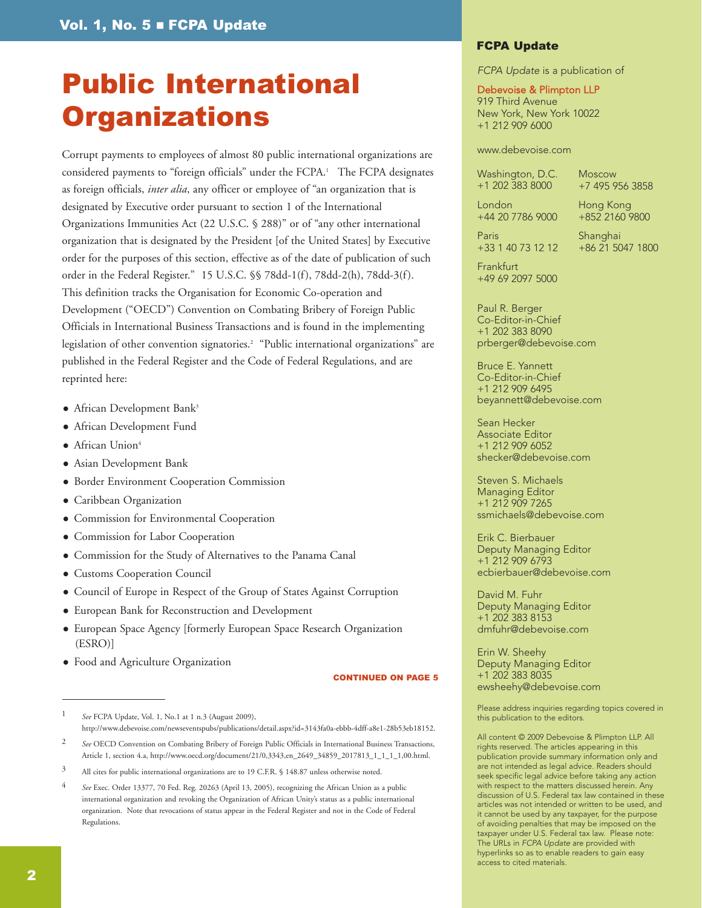## Public International **Organizations**

Corrupt payments to employees of almost 80 public international organizations are considered payments to "foreign officials" under the FCPA.<sup>1</sup> The FCPA designates as foreign officials, *inter alia*, any officer or employee of "an organization that is designated by Executive order pursuant to section 1 of the International Organizations Immunities Act (22 U.S.C. § 288)" or of "any other international organization that is designated by the President [of the United States] by Executive order for the purposes of this section, effective as of the date of publication of such order in the Federal Register." 15 U.S.C. §§ 78dd-1(f), 78dd-2(h), 78dd-3(f). This definition tracks the Organisation for Economic Co-operation and Development ("OECD") Convention on Combating Bribery of Foreign Public Officials in International Business Transactions and is found in the implementing legislation of other convention signatories.<sup>2</sup> "Public international organizations" are published in the Federal Register and the Code of Federal Regulations, and are reprinted here:

- **•** African Development Bank<sup>3</sup>
- African Development Fund
- $\bullet$  African Union<sup>4</sup>
- **Asian Development Bank**
- **Border Environment Cooperation Commission**
- Caribbean Organization
- Commission for Environmental Cooperation
- Commission for Labor Cooperation
- **Commission for the Study of Alternatives to the Panama Canal**
- **Customs Cooperation Council**
- Council of Europe in Respect of the Group of States Against Corruption
- **European Bank for Reconstruction and Development**
- European Space Agency [formerly European Space Research Organization (ESRO)]
- Food and Agriculture Organization

#### CONTINUED ON PAGE 5

#### FCPA Update

FCPA Update is a publication of

#### Debevoise & Plimpton LLP

919 Third Avenue New York, New York 10022 +1 212 909 6000

#### [www.debevoise.com](http://www.debevoise.com)

Washington, D.C. +1 202 383 8000

Moscow +7 495 956 3858

London +44 20 7786 9000 Hong Kong +852 2160 9800

Paris +33 1 40 73 12 12 Shanghai +86 21 5047 1800

**Frankfurt** +49 69 2097 5000

Paul R. Berger Co-Editor-in-Chief

+1 202 383 8090 [prberger@debevoise.com](mailto:prberger@debevoise.com)

Bruce E. Yannett Co-Editor-in-Chief +1 212 909 6495 [beyannett@debevoise.com](mailto:beyannett@debevoise.com)

Sean Hecker Associate Editor +1 212 909 6052 [shecker@debevoise.com](mailto:shecker@debevoise.com)

Steven S. Michaels Managing Editor +1 212 909 7265 [ssmichaels@debevoise.com](mailto:ssmichaels@debevoise.com)

Erik C. Bierbauer Deputy Managing Editor +1 212 909 6793 [ecbierbauer@debevoise.com](mailto:ecbierbauer@debevoise.com)

David M. Fuhr Deputy Managing Editor +1 202 383 8153 [dmfuhr@debevoise.com](mailto:dmfuhr@debevoise.com)

Erin W. Sheehy Deputy Managing Editor +1 202 383 8035 [ewsheehy@debevoise.com](mailto:ewsheehy@debevoise.com)

Please address inquiries regarding topics covered in this publication to the editors.

All content © 2009 Debevoise & Plimpton LLP. All rights reserved. The articles appearing in this publication provide summary information only and are not intended as legal advice. Readers should seek specific legal advice before taking any action with respect to the matters discussed herein. Any discussion of U.S. Federal tax law contained in these articles was not intended or written to be used, and it cannot be used by any taxpayer, for the purpose of avoiding penalties that may be imposed on the taxpayer under U.S. Federal tax law. Please note: The URLs in FCPA Update are provided with hyperlinks so as to enable readers to gain easy access to cited materials.

<sup>1</sup> *See* FCPA Update, Vol. 1, No.1 at 1 n.3 (August 2009), [http://www.debevoise.com/newseventspubs/publications/detail.aspx?id=3143fa0a-ebbb-4dff-a8e1-28b53eb18152.](http://www.debevoise.com/newseventspubs/publications/detail.aspx?id=3143fa0a-ebbb-4dff-a8e1-28b53eb18152)

See OECD Convention on Combating Bribery of Foreign Public Officials in International Business Transactions, Article 1, section 4.a[, http://www.oecd.org/document/21/0,3343,en\\_2649\\_34859\\_2017813\\_1\\_1\\_1\\_1,00.html.](http://www.oecd.org/document/21/0,3343,en_2649_34859_2017813_1_1_1_1,00.html)

<sup>&</sup>lt;sup>3</sup> All cites for public international organizations are to 19 C.F.R. § 148.87 unless otherwise noted.

<sup>4</sup> *See* Exec. Order 13377, 70 Fed. Reg. 20263 (April 13, 2005), recognizing the African Union as a public international organization and revoking the Organization of African Unity's status as a public international organization. Note that revocations of status appear in the Federal Register and not in the Code of Federal Regulations.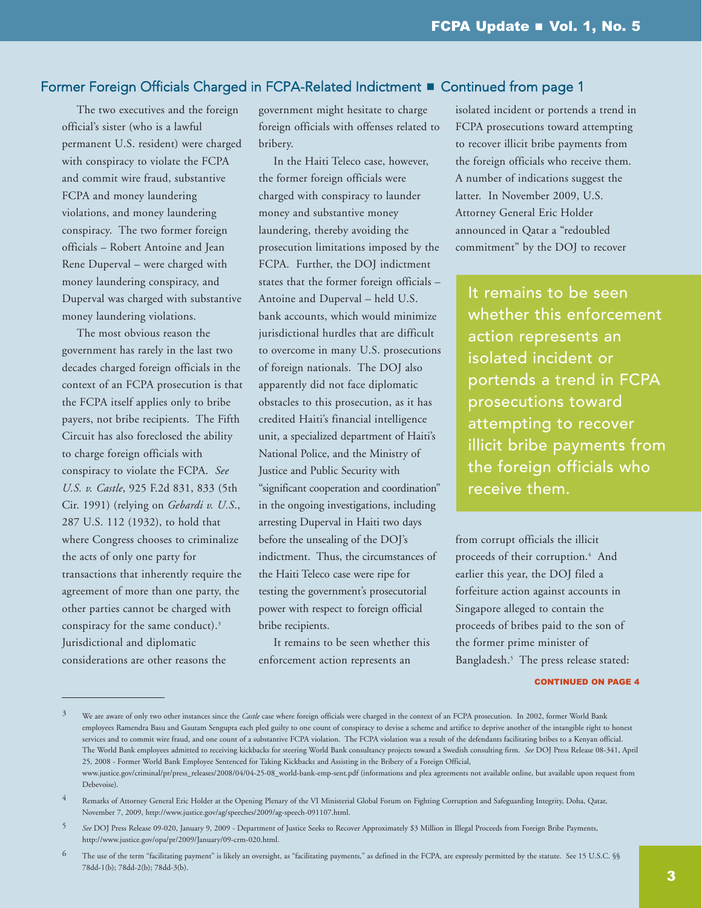#### Former Foreign Officials Charged in FCPA-Related Indictment **n** Continued from page 1

The two executives and the foreign official's sister (who is a lawful permanent U.S. resident) were charged with conspiracy to violate the FCPA and commit wire fraud, substantive FCPA and money laundering violations, and money laundering conspiracy. The two former foreign officials – Robert Antoine and Jean Rene Duperval – were charged with money laundering conspiracy, and Duperval was charged with substantive money laundering violations.

The most obvious reason the government has rarely in the last two decades charged foreign officials in the context of an FCPA prosecution is that the FCPA itself applies only to bribe payers, not bribe recipients. The Fifth Circuit has also foreclosed the ability to charge foreign officials with conspiracy to violate the FCPA. *See U.S. v. Castle*, 925 F.2d 831, 833 (5th Cir. 1991) (relying on *Gebardi v. U.S*., 287 U.S. 112 (1932), to hold that where Congress chooses to criminalize the acts of only one party for transactions that inherently require the agreement of more than one party, the other parties cannot be charged with conspiracy for the same conduct).3 Jurisdictional and diplomatic considerations are other reasons the

government might hesitate to charge foreign officials with offenses related to bribery.

In the Haiti Teleco case, however, the former foreign officials were charged with conspiracy to launder money and substantive money laundering, thereby avoiding the prosecution limitations imposed by the FCPA. Further, the DOJ indictment states that the former foreign officials – Antoine and Duperval – held U.S. bank accounts, which would minimize jurisdictional hurdles that are difficult to overcome in many U.S. prosecutions of foreign nationals. The DOJ also apparently did not face diplomatic obstacles to this prosecution, as it has credited Haiti's financial intelligence unit, a specialized department of Haiti's National Police, and the Ministry of Justice and Public Security with "significant cooperation and coordination" in the ongoing investigations, including arresting Duperval in Haiti two days before the unsealing of the DOJ's indictment. Thus, the circumstances of the Haiti Teleco case were ripe for testing the government's prosecutorial power with respect to foreign official bribe recipients.

It remains to be seen whether this enforcement action represents an

isolated incident or portends a trend in FCPA prosecutions toward attempting to recover illicit bribe payments from the foreign officials who receive them. A number of indications suggest the latter. In November 2009, U.S. Attorney General Eric Holder announced in Qatar a "redoubled commitment" by the DOJ to recover

It remains to be seen whether this enforcement action represents an isolated incident or portends a trend in FCPA prosecutions toward attempting to recover illicit bribe payments from the foreign officials who receive them.

from corrupt officials the illicit proceeds of their corruption.<sup>4</sup> And earlier this year, the DOJ filed a forfeiture action against accounts in Singapore alleged to contain the proceeds of bribes paid to the son of the former prime minister of Bangladesh.<sup>5</sup> The press release stated:

CONTINUED ON PAGE 4

6 The use of the term "facilitating payment" is likely an oversight, as "facilitating payments," as defined in the FCPA, are expressly permitted by the statute. See 15 U.S.C. §§ 78dd-1(b); 78dd-2(b); 78dd-3(b).

We are aware of only two other instances since the *Castle* case where foreign officials were charged in the context of an FCPA prosecution. In 2002, former World Bank employees Ramendra Basu and Gautam Sengupta each pled guilty to one count of conspiracy to devise a scheme and artifice to deprive another of the intangible right to honest services and to commit wire fraud, and one count of a substantive FCPA violation. The FCPA violation was a result of the defendants facilitating bribes to a Kenyan official. The World Bank employees admitted to receiving kickbacks for steering World Bank consultancy projects toward a Swedish consulting firm. *See* DOJ Press Release 08-341, April 25, 2008 - Former World Bank Employee Sentenced for Taking Kickbacks and Assisting in the Bribery of a Foreign Official, [www.justice.gov/criminal/pr/press\\_releases/2008/04/04-25-08\\_world-bank-emp-sent.pdf \(in](http://www.justice.gov/criminal/pr/press_releases/2008/04/04-25-08_world-bank-emp-sent.pdf)formations and plea agreements not available online, but available upon request from Debevoise).

<sup>4</sup> Remarks of Attorney General Eric Holder at the Opening Plenary of the VI Ministerial Global Forum on Fighting Corruption and Safeguarding Integrity, Doha, Qatar, November 7, 2009, [http://www.justice.gov/ag/speeches/2009/ag-speech-091107.html.](http://www.justice.gov/ag/speeches/2009/ag-speech-091107.html) 

<sup>5</sup> *See* DOJ Press Release 09-020, January 9, 2009 - Department of Justice Seeks to Recover Approximately \$3 Million in Illegal Proceeds from Foreign Bribe Payments, [http://www.justice.gov/opa/pr/2009/January/09-crm-020.html.](http://www.justice.gov/opa/pr/2009/January/09-crm-020.html)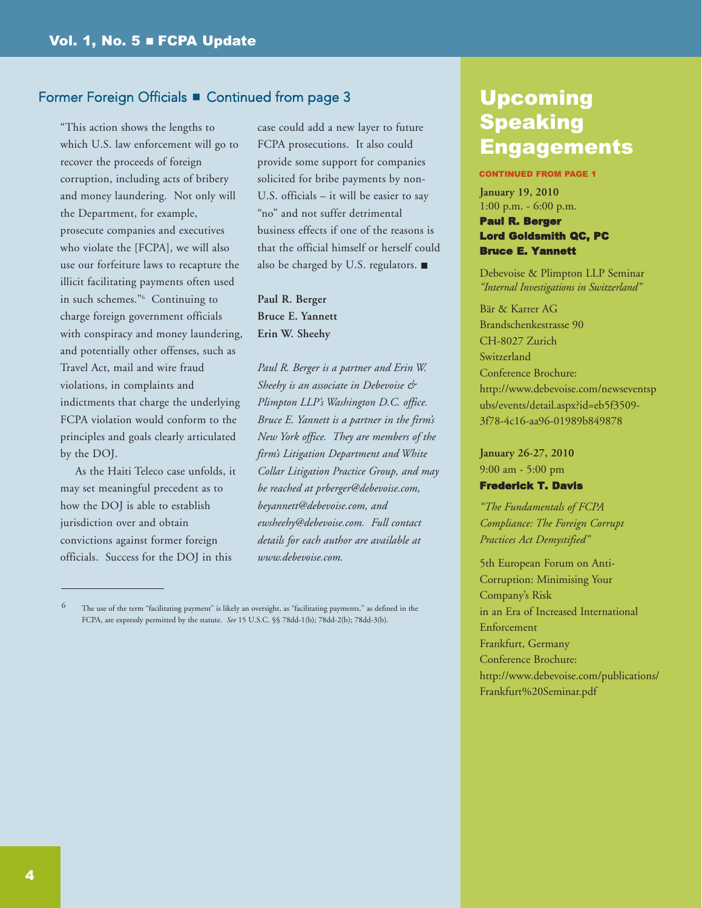#### Former Foreign Officials **E** Continued from page 3

"This action shows the lengths to which U.S. law enforcement will go to recover the proceeds of foreign corruption, including acts of bribery and money laundering. Not only will the Department, for example, prosecute companies and executives who violate the [FCPA], we will also use our forfeiture laws to recapture the illicit facilitating payments often used in such schemes."6 Continuing to charge foreign government officials with conspiracy and money laundering, and potentially other offenses, such as Travel Act, mail and wire fraud violations, in complaints and indictments that charge the underlying FCPA violation would conform to the principles and goals clearly articulated by the DOJ.

As the Haiti Teleco case unfolds, it may set meaningful precedent as to how the DOJ is able to establish jurisdiction over and obtain convictions against former foreign officials. Success for the DOJ in this

case could add a new layer to future FCPA prosecutions. It also could provide some support for companies solicited for bribe payments by non-U.S. officials – it will be easier to say "no" and not suffer detrimental business effects if one of the reasons is that the official himself or herself could also be charged by U.S. regulators.  $\blacksquare$ 

**Paul R. Berger Bruce E. Yannett Erin W. Sheehy**

*Paul R. Berger is a partner and Erin W. Sheehy is an associate in Debevoise & Plimpton LLP's Washington D.C. office. Bruce E. Yannett is a partner in the firm's New York office. They are members of the firm's Litigation Department and White Collar Litigation Practice Group, and may be reached at [prberger@debevoise.com,](mailto:prberger@debevoise.com) [beyannett@debevoise.com,](mailto:beyannett@debevoise.com) and [ewsheehy@debevoise.com.](mailto:ewsheehy@debevoise.com) Full contact details for each author are available at [www.debevoise.com.](www.debevoise.com)*

## Upcoming Speaking Engagements

#### CONTINUED FROM PAGE 1

**January 19, 2010** 1:00 p.m. - 6:00 p.m.

#### Paul R. Berger Lord Goldsmith QC, PC Bruce E. Yannett

Debevoise & Plimpton LLP Seminar *"Internal Investigations in Switzerland"* 

Bär & Karrer AG Brandschenkestrasse 90 CH-8027 Zurich Switzerland Conference Brochure: [http://www.debevoise.com/newseventsp](http://www.debevoise.com/newseventspubs/events/detail.aspx?id=eb5f3509-3f78-4c16-aa96-01989b849878) ubs/events/detail.aspx?id=eb5f3509- 3f78-4c16-aa96-01989b849878

**January 26-27, 2010** 9:00 am - 5:00 pm Frederick T. Davis

*"The Fundamentals of FCPA Compliance: The Foreign Corrupt Practices Act Demystified"*

5th European Forum on Anti-Corruption: Minimising Your Company's Risk in an Era of Increased International Enforcement Frankfurt, Germany Conference Brochure: [http://www.debevoise.com/publications/](http://www.debevoise.com/publications/Frankfurt%20Seminar.pdf) Frankfurt%20Seminar.pdf

<sup>6</sup> The use of the term "facilitating payment" is likely an oversight, as "facilitating payments," as defined in the FCPA, are expressly permitted by the statute. *See* 15 U.S.C. §§ 78dd-1(b); 78dd-2(b); 78dd-3(b).